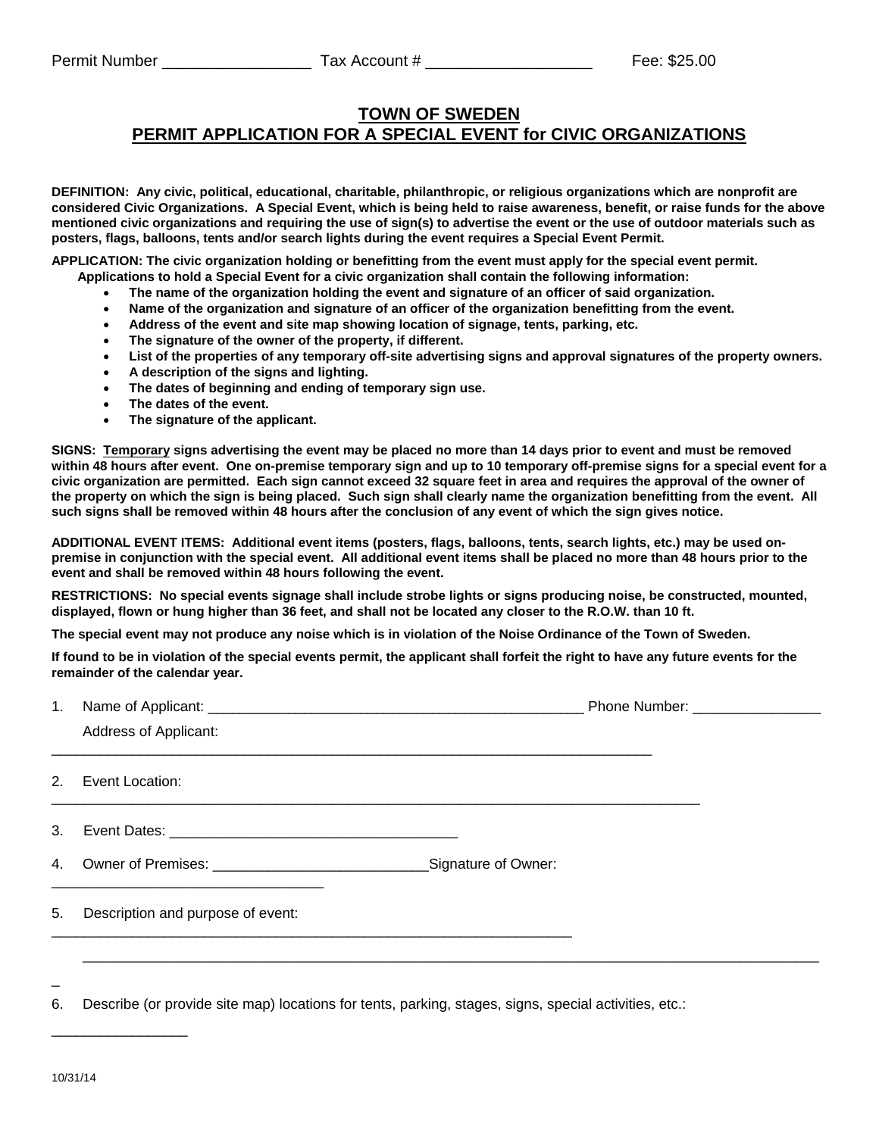## **TOWN OF SWEDEN PERMIT APPLICATION FOR A SPECIAL EVENT for CIVIC ORGANIZATIONS**

**DEFINITION: Any civic, political, educational, charitable, philanthropic, or religious organizations which are nonprofit are considered Civic Organizations. A Special Event, which is being held to raise awareness, benefit, or raise funds for the above mentioned civic organizations and requiring the use of sign(s) to advertise the event or the use of outdoor materials such as posters, flags, balloons, tents and/or search lights during the event requires a Special Event Permit.** 

**APPLICATION: The civic organization holding or benefitting from the event must apply for the special event permit.** 

- **Applications to hold a Special Event for a civic organization shall contain the following information:** 
	- **The name of the organization holding the event and signature of an officer of said organization.**
	- **Name of the organization and signature of an officer of the organization benefitting from the event.**
	- **Address of the event and site map showing location of signage, tents, parking, etc.**
	- **The signature of the owner of the property, if different.**
	- **List of the properties of any temporary off-site advertising signs and approval signatures of the property owners.**
	- **A description of the signs and lighting.**
	- **The dates of beginning and ending of temporary sign use.**
	- **The dates of the event.**
	- **The signature of the applicant.**

**SIGNS: Temporary signs advertising the event may be placed no more than 14 days prior to event and must be removed within 48 hours after event. One on-premise temporary sign and up to 10 temporary off-premise signs for a special event for a civic organization are permitted. Each sign cannot exceed 32 square feet in area and requires the approval of the owner of the property on which the sign is being placed. Such sign shall clearly name the organization benefitting from the event. All such signs shall be removed within 48 hours after the conclusion of any event of which the sign gives notice.** 

**ADDITIONAL EVENT ITEMS: Additional event items (posters, flags, balloons, tents, search lights, etc.) may be used onpremise in conjunction with the special event. All additional event items shall be placed no more than 48 hours prior to the event and shall be removed within 48 hours following the event.** 

**RESTRICTIONS: No special events signage shall include strobe lights or signs producing noise, be constructed, mounted, displayed, flown or hung higher than 36 feet, and shall not be located any closer to the R.O.W. than 10 ft.** 

**The special event may not produce any noise which is in violation of the Noise Ordinance of the Town of Sweden.** 

**If found to be in violation of the special events permit, the applicant shall forfeit the right to have any future events for the remainder of the calendar year.**

| 1.      |                                   | Phone Number: ___________________ |  |  |
|---------|-----------------------------------|-----------------------------------|--|--|
|         | Address of Applicant:             |                                   |  |  |
| 2.      | Event Location:                   |                                   |  |  |
| $3_{-}$ |                                   |                                   |  |  |
|         |                                   |                                   |  |  |
| 5.      | Description and purpose of event: |                                   |  |  |
|         |                                   |                                   |  |  |

6. Describe (or provide site map) locations for tents, parking, stages, signs, special activities, etc.:

\_\_\_\_\_\_\_\_\_\_\_\_\_\_\_\_\_

 $\overline{a}$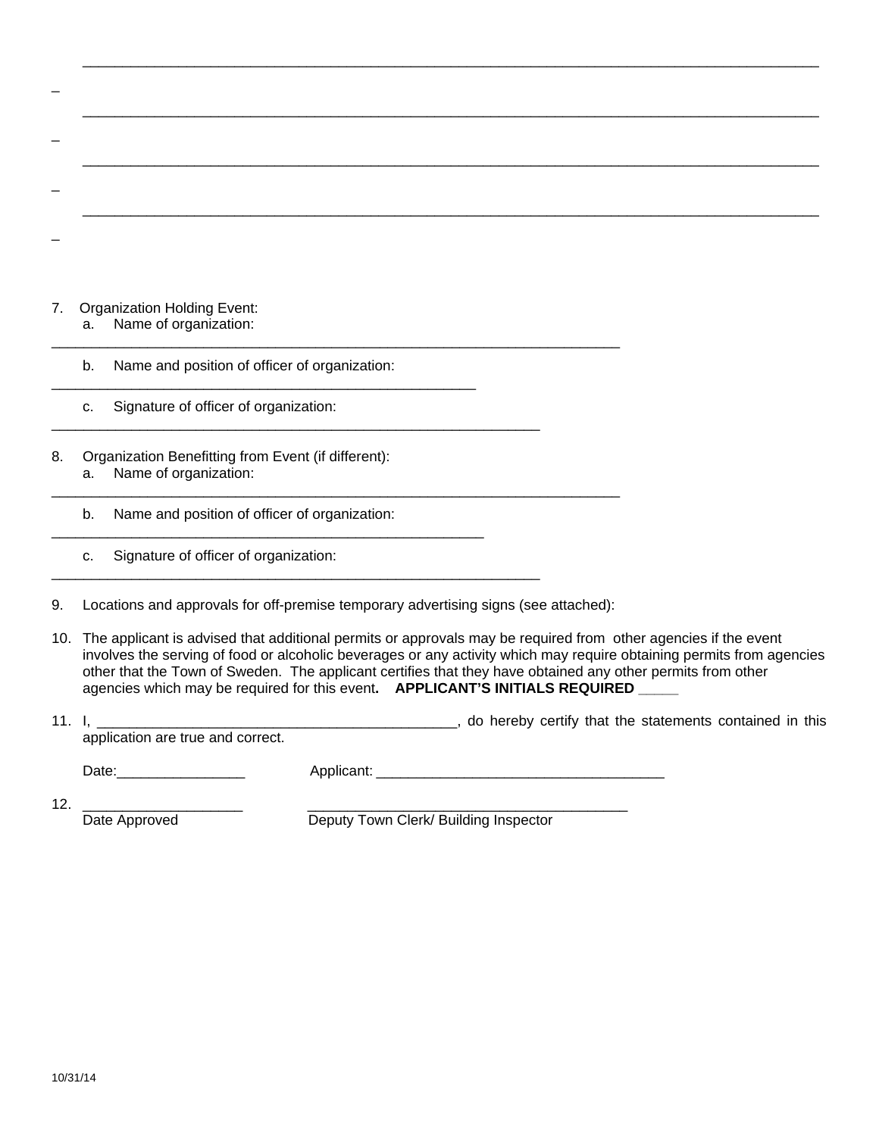| 7. |    | <b>Organization Holding Event:</b>                                           |  |  |  |
|----|----|------------------------------------------------------------------------------|--|--|--|
|    | a. | Name of organization:                                                        |  |  |  |
|    | b. | Name and position of officer of organization:                                |  |  |  |
|    | C. | Signature of officer of organization:                                        |  |  |  |
| 8. | a. | Organization Benefitting from Event (if different):<br>Name of organization: |  |  |  |
|    | b. | Name and position of officer of organization:                                |  |  |  |
|    | C. | Signature of officer of organization:                                        |  |  |  |
|    |    |                                                                              |  |  |  |

 $\overline{\phantom{a}}$  ,  $\overline{\phantom{a}}$  ,  $\overline{\phantom{a}}$  ,  $\overline{\phantom{a}}$  ,  $\overline{\phantom{a}}$  ,  $\overline{\phantom{a}}$  ,  $\overline{\phantom{a}}$  ,  $\overline{\phantom{a}}$  ,  $\overline{\phantom{a}}$  ,  $\overline{\phantom{a}}$  ,  $\overline{\phantom{a}}$  ,  $\overline{\phantom{a}}$  ,  $\overline{\phantom{a}}$  ,  $\overline{\phantom{a}}$  ,  $\overline{\phantom{a}}$  ,  $\overline{\phantom{a}}$ 

9. Locations and approvals for off-premise temporary advertising signs (see attached):

10. The applicant is advised that additional permits or approvals may be required from other agencies if the event involves the serving of food or alcoholic beverages or any activity which may require obtaining permits from agencies other that the Town of Sweden. The applicant certifies that they have obtained any other permits from other agencies which may be required for this event. **APPLICANT'S INITIALS REQUIRED** 

| 11. |                                   |            |  |  | do hereby certify that the statements contained in this |  |
|-----|-----------------------------------|------------|--|--|---------------------------------------------------------|--|
|     | application are true and correct. |            |  |  |                                                         |  |
|     | Date:                             | Applicant: |  |  |                                                         |  |

 $\overline{a}$ 

12. \_\_\_\_\_\_\_\_\_\_\_\_\_\_\_\_\_\_\_\_ \_\_\_\_\_\_\_\_\_\_\_\_\_\_\_\_\_\_\_\_\_\_\_\_\_\_\_\_\_\_\_\_\_\_\_\_\_\_\_\_

Date Approved Deputy Town Clerk/ Building Inspector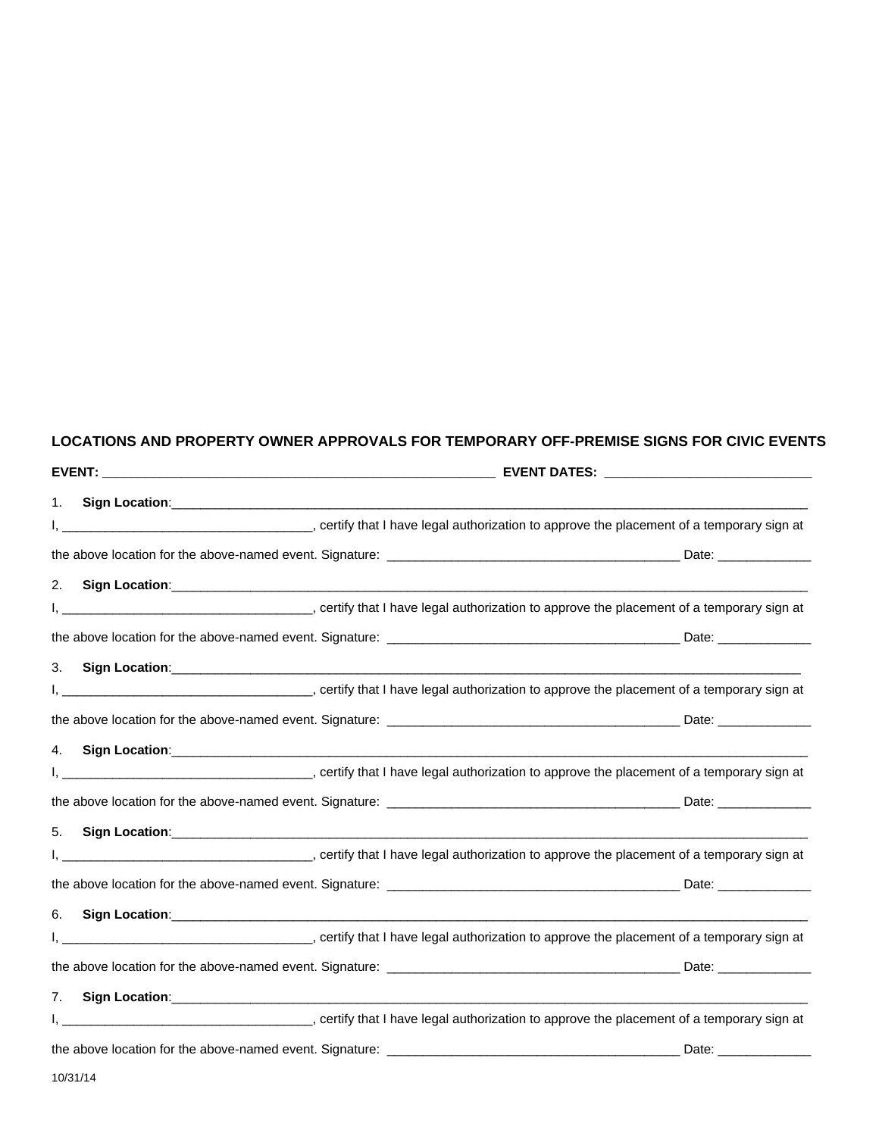## **LOCATIONS AND PROPERTY OWNER APPROVALS FOR TEMPORARY OFF-PREMISE SIGNS FOR CIVIC EVENTS**

| EVENT: A CONSTRUCTION OF THE CONSTRUCTION OF THE CONSTRUCTION OF THE CONSTRUCTION OF THE CONSTRUCTION OF THE CONSTRUCTION OF THE CONSTRUCTION OF THE CONSTRUCTION OF THE CONSTRUCTION OF THE CONSTRUCTION OF THE CONSTRUCTION |                | EVENT DATES: New York State State State State State State State State State State State State State State State State State State State State State State State State State State State State State State State State State St |                                                                                                                                                                                                                                |  |  |  |
|-------------------------------------------------------------------------------------------------------------------------------------------------------------------------------------------------------------------------------|----------------|--------------------------------------------------------------------------------------------------------------------------------------------------------------------------------------------------------------------------------|--------------------------------------------------------------------------------------------------------------------------------------------------------------------------------------------------------------------------------|--|--|--|
| 1.                                                                                                                                                                                                                            | Sign Location: |                                                                                                                                                                                                                                |                                                                                                                                                                                                                                |  |  |  |
|                                                                                                                                                                                                                               |                |                                                                                                                                                                                                                                |                                                                                                                                                                                                                                |  |  |  |
|                                                                                                                                                                                                                               |                |                                                                                                                                                                                                                                | Date: and the state of the state of the state of the state of the state of the state of the state of the state                                                                                                                 |  |  |  |
| 2.                                                                                                                                                                                                                            |                |                                                                                                                                                                                                                                |                                                                                                                                                                                                                                |  |  |  |
|                                                                                                                                                                                                                               |                |                                                                                                                                                                                                                                |                                                                                                                                                                                                                                |  |  |  |
|                                                                                                                                                                                                                               |                |                                                                                                                                                                                                                                |                                                                                                                                                                                                                                |  |  |  |
| 3.                                                                                                                                                                                                                            |                |                                                                                                                                                                                                                                |                                                                                                                                                                                                                                |  |  |  |
|                                                                                                                                                                                                                               |                |                                                                                                                                                                                                                                |                                                                                                                                                                                                                                |  |  |  |
|                                                                                                                                                                                                                               |                |                                                                                                                                                                                                                                | Date: ________________                                                                                                                                                                                                         |  |  |  |
| 4.                                                                                                                                                                                                                            |                |                                                                                                                                                                                                                                |                                                                                                                                                                                                                                |  |  |  |
|                                                                                                                                                                                                                               |                |                                                                                                                                                                                                                                |                                                                                                                                                                                                                                |  |  |  |
|                                                                                                                                                                                                                               |                |                                                                                                                                                                                                                                | Date: National Contract of the Contract of the Contract of the Contract of the Contract of the Contract of the Contract of the Contract of the Contract of the Contract of the Contract of the Contract of the Contract of the |  |  |  |
| 5.                                                                                                                                                                                                                            |                |                                                                                                                                                                                                                                |                                                                                                                                                                                                                                |  |  |  |
|                                                                                                                                                                                                                               |                |                                                                                                                                                                                                                                |                                                                                                                                                                                                                                |  |  |  |
|                                                                                                                                                                                                                               |                |                                                                                                                                                                                                                                | Date: _______________                                                                                                                                                                                                          |  |  |  |
| 6.                                                                                                                                                                                                                            |                |                                                                                                                                                                                                                                | Sign Location: <u>Commission Commission Commission Commission Commission Commission Commission Commission Commission</u>                                                                                                       |  |  |  |
|                                                                                                                                                                                                                               |                |                                                                                                                                                                                                                                |                                                                                                                                                                                                                                |  |  |  |
|                                                                                                                                                                                                                               |                |                                                                                                                                                                                                                                |                                                                                                                                                                                                                                |  |  |  |
| 7.                                                                                                                                                                                                                            |                |                                                                                                                                                                                                                                |                                                                                                                                                                                                                                |  |  |  |
|                                                                                                                                                                                                                               |                |                                                                                                                                                                                                                                |                                                                                                                                                                                                                                |  |  |  |
|                                                                                                                                                                                                                               |                |                                                                                                                                                                                                                                | Date: ____________                                                                                                                                                                                                             |  |  |  |